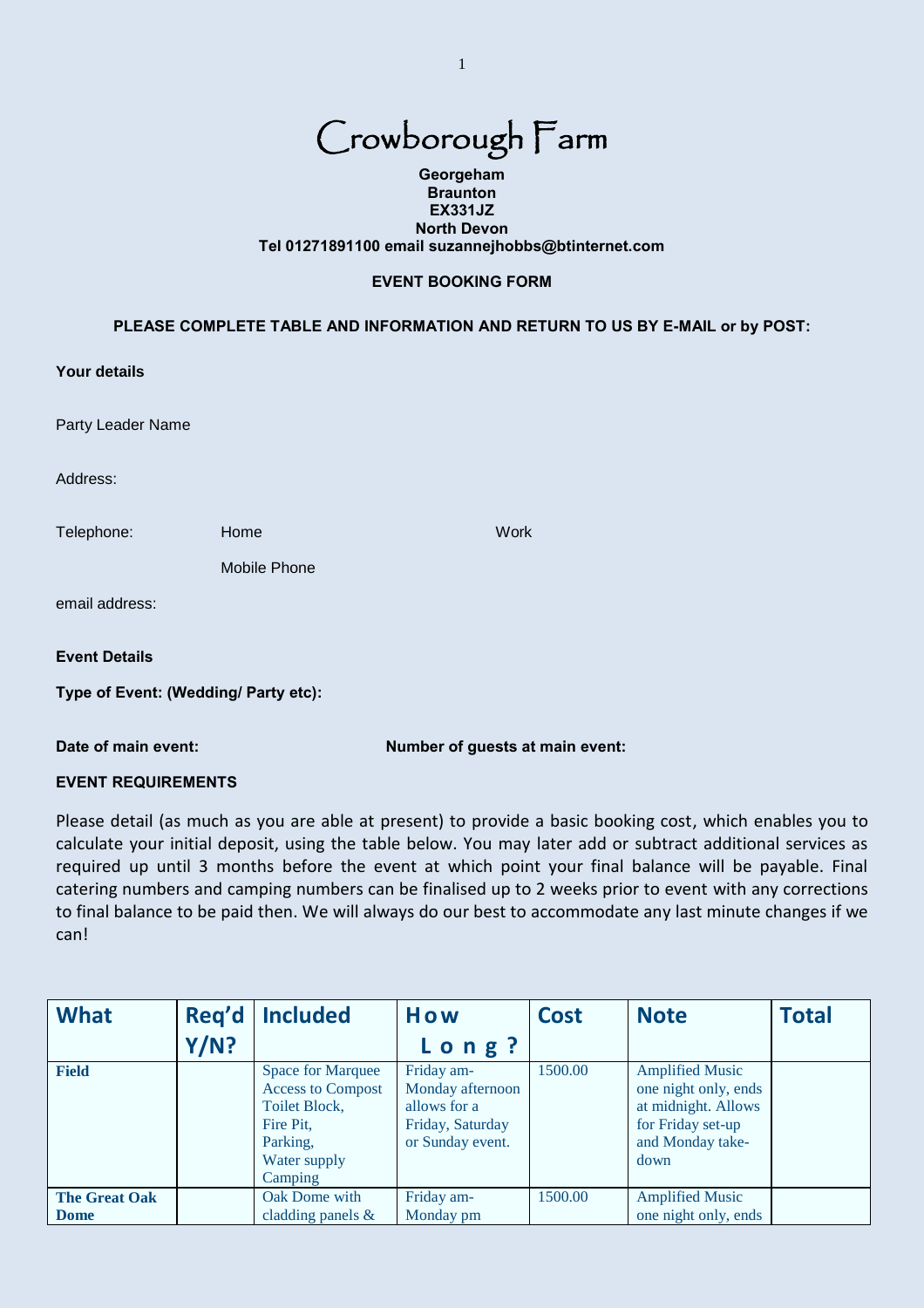

#### **Georgeham Braunton EX331JZ North Devon Tel 01271891100 email suzannejhobbs@btinternet.com**

#### **EVENT BOOKING FORM**

### **PLEASE COMPLETE TABLE AND INFORMATION AND RETURN TO US BY E-MAIL or by POST:**

| Your details                         |              |                                 |  |
|--------------------------------------|--------------|---------------------------------|--|
| Party Leader Name                    |              |                                 |  |
| Address:                             |              |                                 |  |
| Telephone:                           | Home         | <b>Work</b>                     |  |
|                                      | Mobile Phone |                                 |  |
| email address:                       |              |                                 |  |
| <b>Event Details</b>                 |              |                                 |  |
| Type of Event: (Wedding/ Party etc): |              |                                 |  |
| Date of main event:                  |              | Number of guests at main event: |  |

## **EVENT REQUIREMENTS**

Please detail (as much as you are able at present) to provide a basic booking cost, which enables you to calculate your initial deposit, using the table below. You may later add or subtract additional services as required up until 3 months before the event at which point your final balance will be payable. Final catering numbers and camping numbers can be finalised up to 2 weeks prior to event with any corrections to final balance to be paid then. We will always do our best to accommodate any last minute changes if we can!

| <b>What</b>          | Req'd | <b>Included</b>                                                                                                           | How                                                                                    | <b>Cost</b> | <b>Note</b>                                                                                                            | <b>Total</b> |
|----------------------|-------|---------------------------------------------------------------------------------------------------------------------------|----------------------------------------------------------------------------------------|-------------|------------------------------------------------------------------------------------------------------------------------|--------------|
|                      | Y/N?  |                                                                                                                           | $L$ ong?                                                                               |             |                                                                                                                        |              |
| <b>Field</b>         |       | <b>Space for Marquee</b><br><b>Access to Compost</b><br>Toilet Block,<br>Fire Pit,<br>Parking,<br>Water supply<br>Camping | Friday am-<br>Monday afternoon<br>allows for a<br>Friday, Saturday<br>or Sunday event. | 1500.00     | <b>Amplified Music</b><br>one night only, ends<br>at midnight. Allows<br>for Friday set-up<br>and Monday take-<br>down |              |
| <b>The Great Oak</b> |       | Oak Dome with                                                                                                             | Friday am-                                                                             | 1500.00     | <b>Amplified Music</b>                                                                                                 |              |
| <b>Dome</b>          |       | cladding panels $\&$                                                                                                      | Monday pm                                                                              |             | one night only, ends                                                                                                   |              |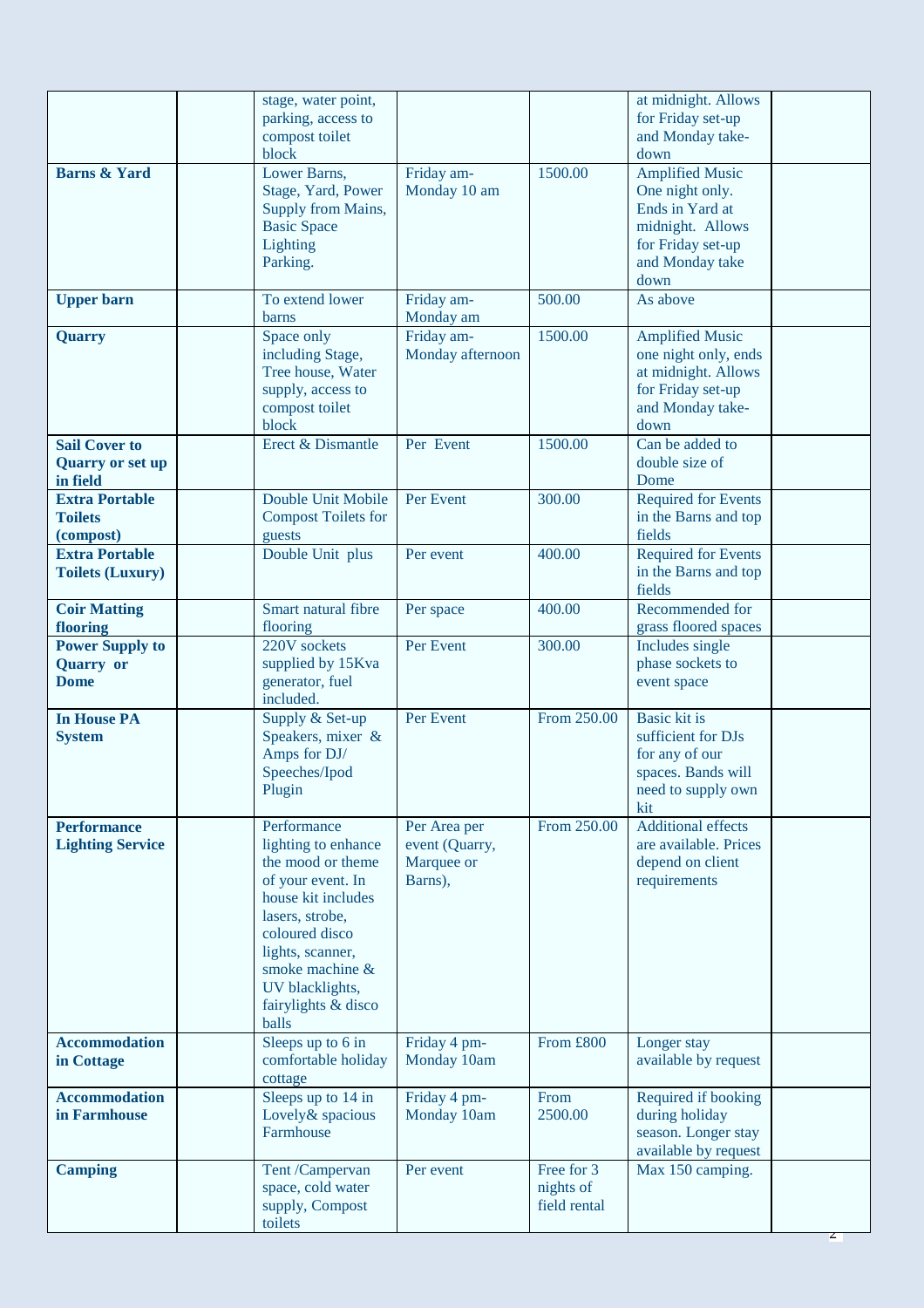|                                                             | stage, water point,<br>parking, access to<br>compost toilet<br>block                                                                                                                                                              |                                                         |                                         | at midnight. Allows<br>for Friday set-up<br>and Monday take-<br>down                                                             |    |
|-------------------------------------------------------------|-----------------------------------------------------------------------------------------------------------------------------------------------------------------------------------------------------------------------------------|---------------------------------------------------------|-----------------------------------------|----------------------------------------------------------------------------------------------------------------------------------|----|
| <b>Barns &amp; Yard</b>                                     | Lower Barns,<br>Stage, Yard, Power<br>Supply from Mains,<br><b>Basic Space</b><br>Lighting<br>Parking.                                                                                                                            | Friday am-<br>Monday 10 am                              | 1500.00                                 | <b>Amplified Music</b><br>One night only.<br>Ends in Yard at<br>midnight. Allows<br>for Friday set-up<br>and Monday take<br>down |    |
| <b>Upper barn</b>                                           | To extend lower<br><b>barns</b>                                                                                                                                                                                                   | Friday am-<br>Monday am                                 | 500.00                                  | As above                                                                                                                         |    |
| <b>Quarry</b>                                               | Space only<br>including Stage,<br>Tree house, Water<br>supply, access to<br>compost toilet<br>block                                                                                                                               | Friday am-<br>Monday afternoon                          | 1500.00                                 | <b>Amplified Music</b><br>one night only, ends<br>at midnight. Allows<br>for Friday set-up<br>and Monday take-<br>down           |    |
| <b>Sail Cover to</b><br><b>Quarry or set up</b><br>in field | Erect & Dismantle                                                                                                                                                                                                                 | Per Event                                               | 1500.00                                 | Can be added to<br>double size of<br>Dome                                                                                        |    |
| <b>Extra Portable</b><br><b>Toilets</b><br>(compost)        | Double Unit Mobile<br><b>Compost Toilets for</b><br>guests                                                                                                                                                                        | Per Event                                               | 300.00                                  | <b>Required for Events</b><br>in the Barns and top<br>fields                                                                     |    |
| <b>Extra Portable</b><br><b>Toilets (Luxury)</b>            | Double Unit plus                                                                                                                                                                                                                  | Per event                                               | 400.00                                  | <b>Required for Events</b><br>in the Barns and top<br>fields                                                                     |    |
| <b>Coir Matting</b><br>flooring                             | Smart natural fibre<br>flooring                                                                                                                                                                                                   | Per space                                               | 400.00                                  | Recommended for<br>grass floored spaces                                                                                          |    |
| <b>Power Supply to</b><br><b>Quarry or</b><br><b>Dome</b>   | 220V sockets<br>supplied by 15Kva<br>generator, fuel<br>included.                                                                                                                                                                 | Per Event                                               | 300.00                                  | Includes single<br>phase sockets to<br>event space                                                                               |    |
| <b>In House PA</b><br><b>System</b>                         | Supply & Set-up<br>Speakers, mixer &<br>Amps for DJ/<br>Speeches/Ipod<br>Plugin                                                                                                                                                   | Per Event                                               | From 250.00                             | <b>Basic kit is</b><br>sufficient for DJs<br>for any of our<br>spaces. Bands will<br>need to supply own<br>kit                   |    |
| <b>Performance</b><br><b>Lighting Service</b>               | Performance<br>lighting to enhance<br>the mood or theme<br>of your event. In<br>house kit includes<br>lasers, strobe,<br>coloured disco<br>lights, scanner,<br>smoke machine &<br>UV blacklights,<br>fairylights & disco<br>balls | Per Area per<br>event (Quarry,<br>Marquee or<br>Barns), | From 250.00                             | <b>Additional effects</b><br>are available. Prices<br>depend on client<br>requirements                                           |    |
| <b>Accommodation</b><br>in Cottage                          | Sleeps up to 6 in<br>comfortable holiday<br>cottage                                                                                                                                                                               | Friday 4 pm-<br>Monday 10am                             | From £800                               | Longer stay<br>available by request                                                                                              |    |
| <b>Accommodation</b><br>in Farmhouse                        | Sleeps up to 14 in<br>Lovely& spacious<br>Farmhouse                                                                                                                                                                               | Friday 4 pm-<br>Monday 10am                             | From<br>2500.00                         | Required if booking<br>during holiday<br>season. Longer stay<br>available by request                                             |    |
| <b>Camping</b>                                              | Tent /Campervan<br>space, cold water<br>supply, Compost<br>toilets                                                                                                                                                                | Per event                                               | Free for 3<br>nights of<br>field rental | Max 150 camping.                                                                                                                 | 7. |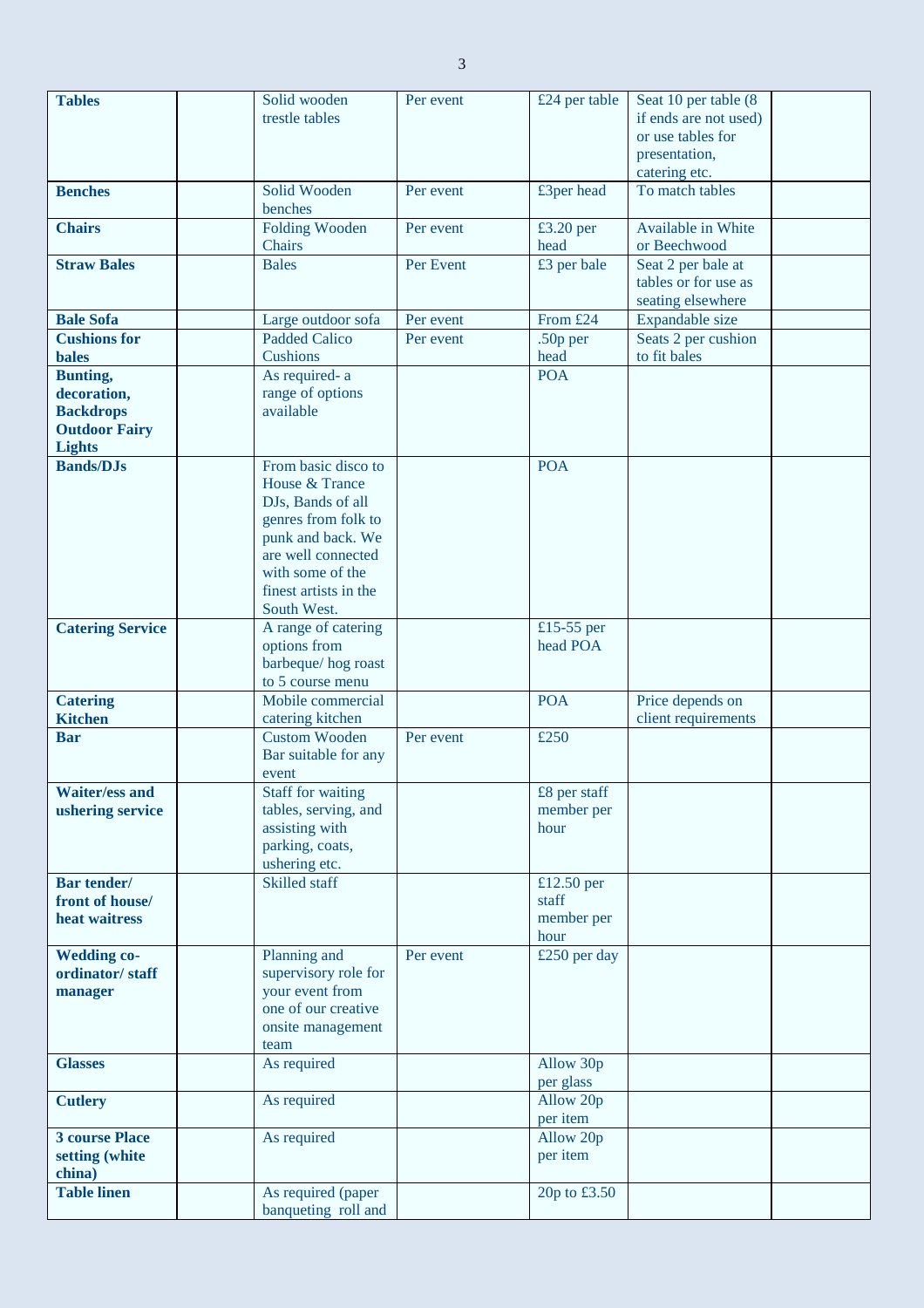| <b>Tables</b>           | Solid wooden                              | Per event | £24 per table | Seat 10 per table (8) |
|-------------------------|-------------------------------------------|-----------|---------------|-----------------------|
|                         | trestle tables                            |           |               | if ends are not used) |
|                         |                                           |           |               | or use tables for     |
|                         |                                           |           |               | presentation,         |
|                         |                                           |           |               | catering etc.         |
| <b>Benches</b>          | Solid Wooden                              | Per event | £3per head    | To match tables       |
|                         | benches                                   |           |               |                       |
| <b>Chairs</b>           | <b>Folding Wooden</b>                     | Per event | £3.20 per     | Available in White    |
|                         | Chairs                                    |           | head          | or Beechwood          |
| <b>Straw Bales</b>      | <b>Bales</b>                              | Per Event | £3 per bale   | Seat 2 per bale at    |
|                         |                                           |           |               | tables or for use as  |
|                         |                                           |           |               | seating elsewhere     |
| <b>Bale Sofa</b>        | Large outdoor sofa                        | Per event | From £24      | Expandable size       |
| <b>Cushions for</b>     | <b>Padded Calico</b>                      | Per event | .50p per      | Seats 2 per cushion   |
| <b>bales</b>            | Cushions                                  |           | head          | to fit bales          |
| <b>Bunting,</b>         | As required- a                            |           | <b>POA</b>    |                       |
| decoration,             | range of options                          |           |               |                       |
| <b>Backdrops</b>        | available                                 |           |               |                       |
| <b>Outdoor Fairy</b>    |                                           |           |               |                       |
| <b>Lights</b>           |                                           |           |               |                       |
| <b>Bands/DJs</b>        | From basic disco to                       |           | <b>POA</b>    |                       |
|                         | House & Trance                            |           |               |                       |
|                         | DJs, Bands of all                         |           |               |                       |
|                         | genres from folk to                       |           |               |                       |
|                         | punk and back. We<br>are well connected   |           |               |                       |
|                         |                                           |           |               |                       |
|                         | with some of the<br>finest artists in the |           |               |                       |
|                         | South West.                               |           |               |                       |
| <b>Catering Service</b> | A range of catering                       |           | £15-55 per    |                       |
|                         | options from                              |           | head POA      |                       |
|                         | barbeque/hog roast                        |           |               |                       |
|                         | to 5 course menu                          |           |               |                       |
| <b>Catering</b>         | Mobile commercial                         |           | <b>POA</b>    | Price depends on      |
| <b>Kitchen</b>          | catering kitchen                          |           |               | client requirements   |
| <b>Bar</b>              | <b>Custom Wooden</b>                      | Per event | £250          |                       |
|                         | Bar suitable for any                      |           |               |                       |
|                         | event                                     |           |               |                       |
| <b>Waiter/ess and</b>   | <b>Staff for waiting</b>                  |           | £8 per staff  |                       |
| ushering service        | tables, serving, and                      |           | member per    |                       |
|                         | assisting with                            |           | hour          |                       |
|                         | parking, coats,                           |           |               |                       |
|                         | ushering etc.                             |           |               |                       |
| <b>Bar tender/</b>      | Skilled staff                             |           | £12.50 per    |                       |
| front of house/         |                                           |           | staff         |                       |
| heat waitress           |                                           |           | member per    |                       |
|                         |                                           |           | hour          |                       |
| <b>Wedding co-</b>      | Planning and                              | Per event | £250 per day  |                       |
| ordinator/staff         | supervisory role for                      |           |               |                       |
| manager                 | your event from                           |           |               |                       |
|                         | one of our creative                       |           |               |                       |
|                         | onsite management                         |           |               |                       |
| <b>Glasses</b>          | team<br>As required                       |           | Allow 30p     |                       |
|                         |                                           |           | per glass     |                       |
| <b>Cutlery</b>          | As required                               |           | Allow 20p     |                       |
|                         |                                           |           | per item      |                       |
| <b>3 course Place</b>   | As required                               |           | Allow 20p     |                       |
| setting (white          |                                           |           | per item      |                       |
| china)                  |                                           |           |               |                       |
| <b>Table linen</b>      | As required (paper                        |           | 20p to £3.50  |                       |
|                         | banqueting roll and                       |           |               |                       |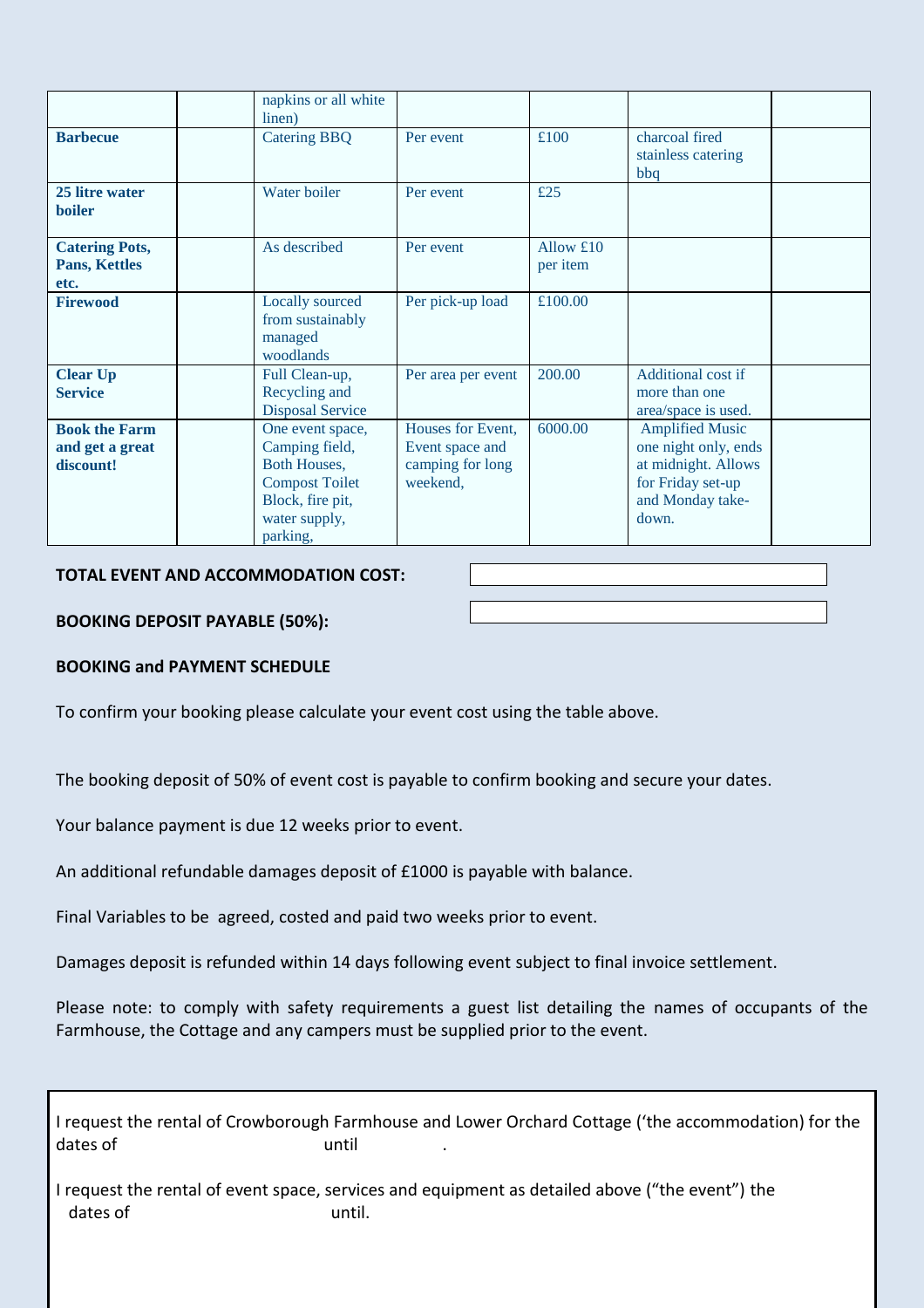|                                                       | napkins or all white<br>linen)                                                                                                      |                                                                      |                       |                                                                                                                         |
|-------------------------------------------------------|-------------------------------------------------------------------------------------------------------------------------------------|----------------------------------------------------------------------|-----------------------|-------------------------------------------------------------------------------------------------------------------------|
| <b>Barbecue</b>                                       | <b>Catering BBQ</b>                                                                                                                 | Per event                                                            | £100                  | charcoal fired<br>stainless catering<br>bbq                                                                             |
| 25 litre water<br><b>boiler</b>                       | Water boiler                                                                                                                        | Per event                                                            | £25                   |                                                                                                                         |
| <b>Catering Pots,</b><br><b>Pans, Kettles</b><br>etc. | As described                                                                                                                        | Per event                                                            | Allow £10<br>per item |                                                                                                                         |
| <b>Firewood</b>                                       | <b>Locally sourced</b><br>from sustainably<br>managed<br>woodlands                                                                  | Per pick-up load                                                     | £100.00               |                                                                                                                         |
| <b>Clear Up</b><br><b>Service</b>                     | Full Clean-up,<br>Recycling and<br><b>Disposal Service</b>                                                                          | Per area per event                                                   | 200.00                | Additional cost if<br>more than one<br>area/space is used.                                                              |
| <b>Book the Farm</b><br>and get a great<br>discount!  | One event space,<br>Camping field,<br><b>Both Houses,</b><br><b>Compost Toilet</b><br>Block, fire pit,<br>water supply,<br>parking, | Houses for Event,<br>Event space and<br>camping for long<br>weekend, | 6000.00               | <b>Amplified Music</b><br>one night only, ends<br>at midnight. Allows<br>for Friday set-up<br>and Monday take-<br>down. |

## **TOTAL EVENT AND ACCOMMODATION COST:**

**BOOKING DEPOSIT PAYABLE (50%):**

## **BOOKING and PAYMENT SCHEDULE**

To confirm your booking please calculate your event cost using the table above.

The booking deposit of 50% of event cost is payable to confirm booking and secure your dates.

Your balance payment is due 12 weeks prior to event.

An additional refundable damages deposit of £1000 is payable with balance.

Final Variables to be agreed, costed and paid two weeks prior to event.

Damages deposit is refunded within 14 days following event subject to final invoice settlement.

Please note: to comply with safety requirements a guest list detailing the names of occupants of the Farmhouse, the Cottage and any campers must be supplied prior to the event.

I request the rental of Crowborough Farmhouse and Lower Orchard Cottage ('the accommodation) for the dates of until

I request the rental of event space, services and equipment as detailed above ("the event") the dates of the until.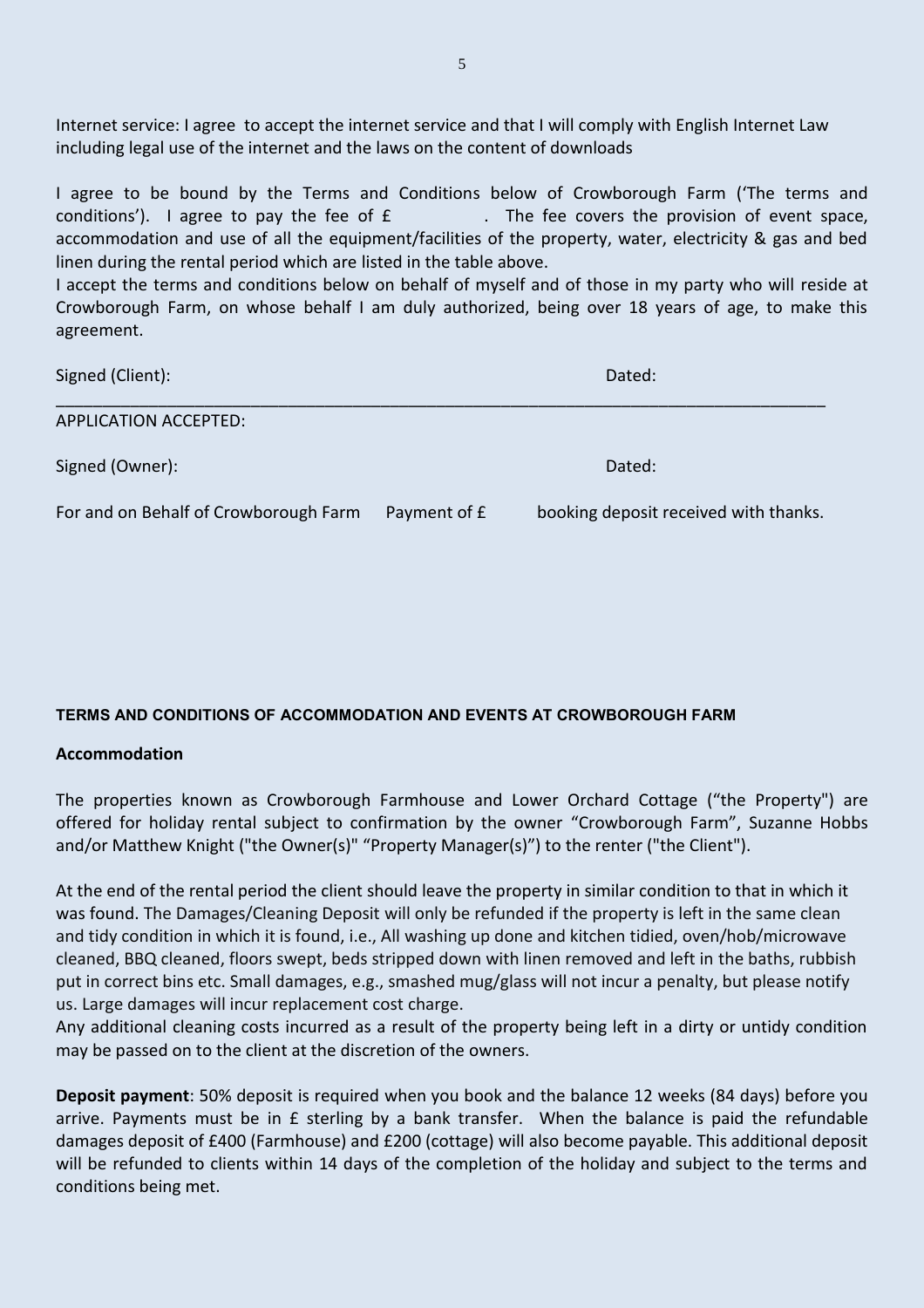Internet service: I agree to accept the internet service and that I will comply with English Internet Law including legal use of the internet and the laws on the content of downloads

I agree to be bound by the Terms and Conditions below of Crowborough Farm ('The terms and conditions'). I agree to pay the fee of  $f$  . The fee covers the provision of event space, accommodation and use of all the equipment/facilities of the property, water, electricity & gas and bed linen during the rental period which are listed in the table above.

I accept the terms and conditions below on behalf of myself and of those in my party who will reside at Crowborough Farm, on whose behalf I am duly authorized, being over 18 years of age, to make this agreement.

| Signed (Client):                      |              | Dated:                                |
|---------------------------------------|--------------|---------------------------------------|
| APPLICATION ACCEPTED:                 |              |                                       |
| Signed (Owner):                       |              | Dated:                                |
| For and on Behalf of Crowborough Farm | Payment of £ | booking deposit received with thanks. |

# **TERMS AND CONDITIONS OF ACCOMMODATION AND EVENTS AT CROWBOROUGH FARM**

## **Accommodation**

The properties known as Crowborough Farmhouse and Lower Orchard Cottage ("the Property") are offered for holiday rental subject to confirmation by the owner "Crowborough Farm", Suzanne Hobbs and/or Matthew Knight ("the Owner(s)" "Property Manager(s)") to the renter ("the Client").

At the end of the rental period the client should leave the property in similar condition to that in which it was found. The Damages/Cleaning Deposit will only be refunded if the property is left in the same clean and tidy condition in which it is found, i.e., All washing up done and kitchen tidied, oven/hob/microwave cleaned, BBQ cleaned, floors swept, beds stripped down with linen removed and left in the baths, rubbish put in correct bins etc. Small damages, e.g., smashed mug/glass will not incur a penalty, but please notify us. Large damages will incur replacement cost charge.

Any additional cleaning costs incurred as a result of the property being left in a dirty or untidy condition may be passed on to the client at the discretion of the owners.

**Deposit payment**: 50% deposit is required when you book and the balance 12 weeks (84 days) before you arrive. Payments must be in £ sterling by a bank transfer. When the balance is paid the refundable damages deposit of £400 (Farmhouse) and £200 (cottage) will also become payable. This additional deposit will be refunded to clients within 14 days of the completion of the holiday and subject to the terms and conditions being met.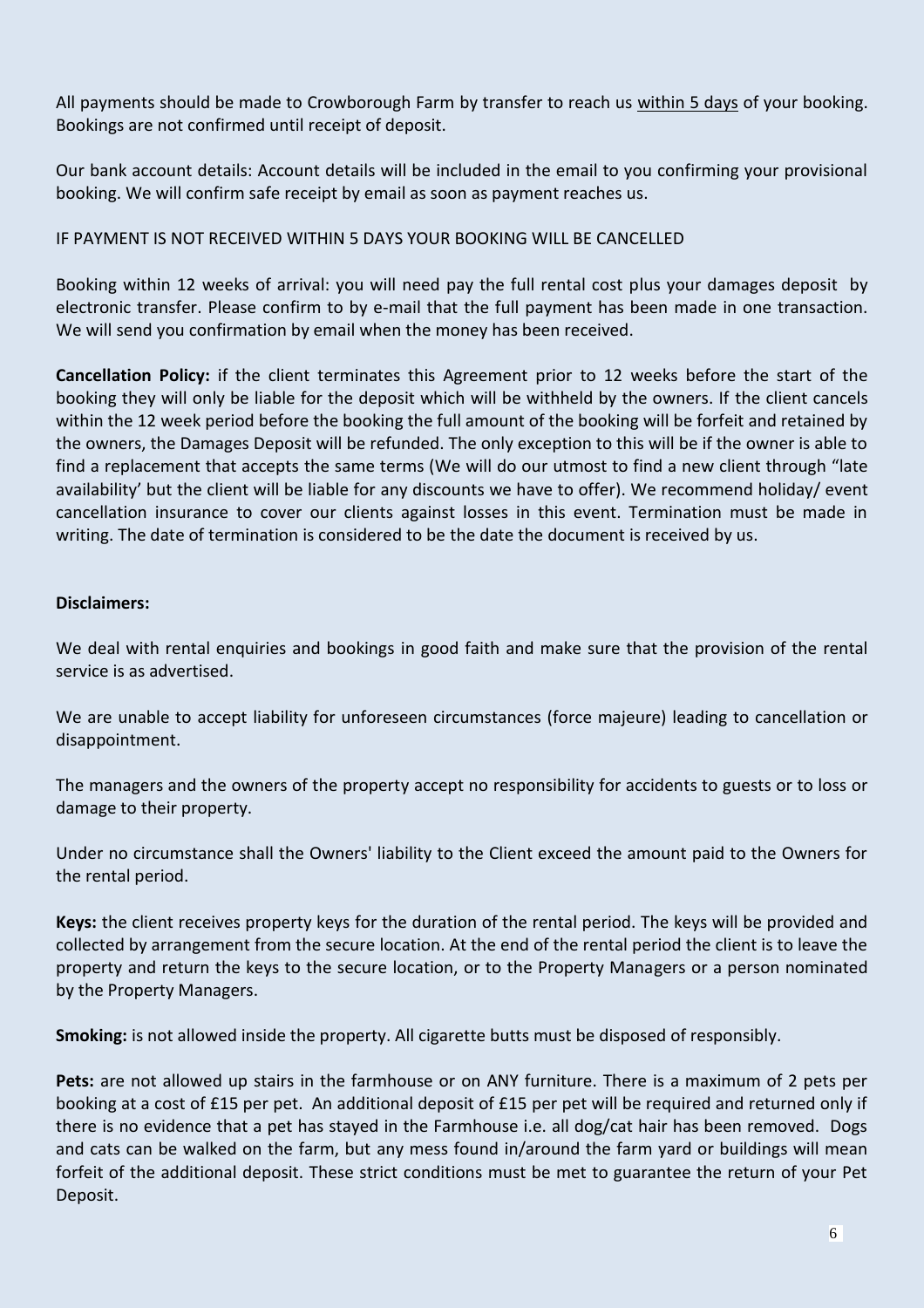All payments should be made to Crowborough Farm by transfer to reach us within 5 days of your booking. Bookings are not confirmed until receipt of deposit.

Our bank account details: Account details will be included in the email to you confirming your provisional booking. We will confirm safe receipt by email as soon as payment reaches us.

# IF PAYMENT IS NOT RECEIVED WITHIN 5 DAYS YOUR BOOKING WILL BE CANCELLED

Booking within 12 weeks of arrival: you will need pay the full rental cost plus your damages deposit by electronic transfer. Please confirm to by e-mail that the full payment has been made in one transaction. We will send you confirmation by email when the money has been received.

**Cancellation Policy:** if the client terminates this Agreement prior to 12 weeks before the start of the booking they will only be liable for the deposit which will be withheld by the owners. If the client cancels within the 12 week period before the booking the full amount of the booking will be forfeit and retained by the owners, the Damages Deposit will be refunded. The only exception to this will be if the owner is able to find a replacement that accepts the same terms (We will do our utmost to find a new client through "late availability' but the client will be liable for any discounts we have to offer). We recommend holiday/ event cancellation insurance to cover our clients against losses in this event. Termination must be made in writing. The date of termination is considered to be the date the document is received by us.

## **Disclaimers:**

We deal with rental enquiries and bookings in good faith and make sure that the provision of the rental service is as advertised.

We are unable to accept liability for unforeseen circumstances (force majeure) leading to cancellation or disappointment.

The managers and the owners of the property accept no responsibility for accidents to guests or to loss or damage to their property.

Under no circumstance shall the Owners' liability to the Client exceed the amount paid to the Owners for the rental period.

**Keys:** the client receives property keys for the duration of the rental period. The keys will be provided and collected by arrangement from the secure location. At the end of the rental period the client is to leave the property and return the keys to the secure location, or to the Property Managers or a person nominated by the Property Managers.

**Smoking:** is not allowed inside the property. All cigarette butts must be disposed of responsibly.

**Pets:** are not allowed up stairs in the farmhouse or on ANY furniture. There is a maximum of 2 pets per booking at a cost of £15 per pet. An additional deposit of £15 per pet will be required and returned only if there is no evidence that a pet has stayed in the Farmhouse i.e. all dog/cat hair has been removed. Dogs and cats can be walked on the farm, but any mess found in/around the farm yard or buildings will mean forfeit of the additional deposit. These strict conditions must be met to guarantee the return of your Pet Deposit.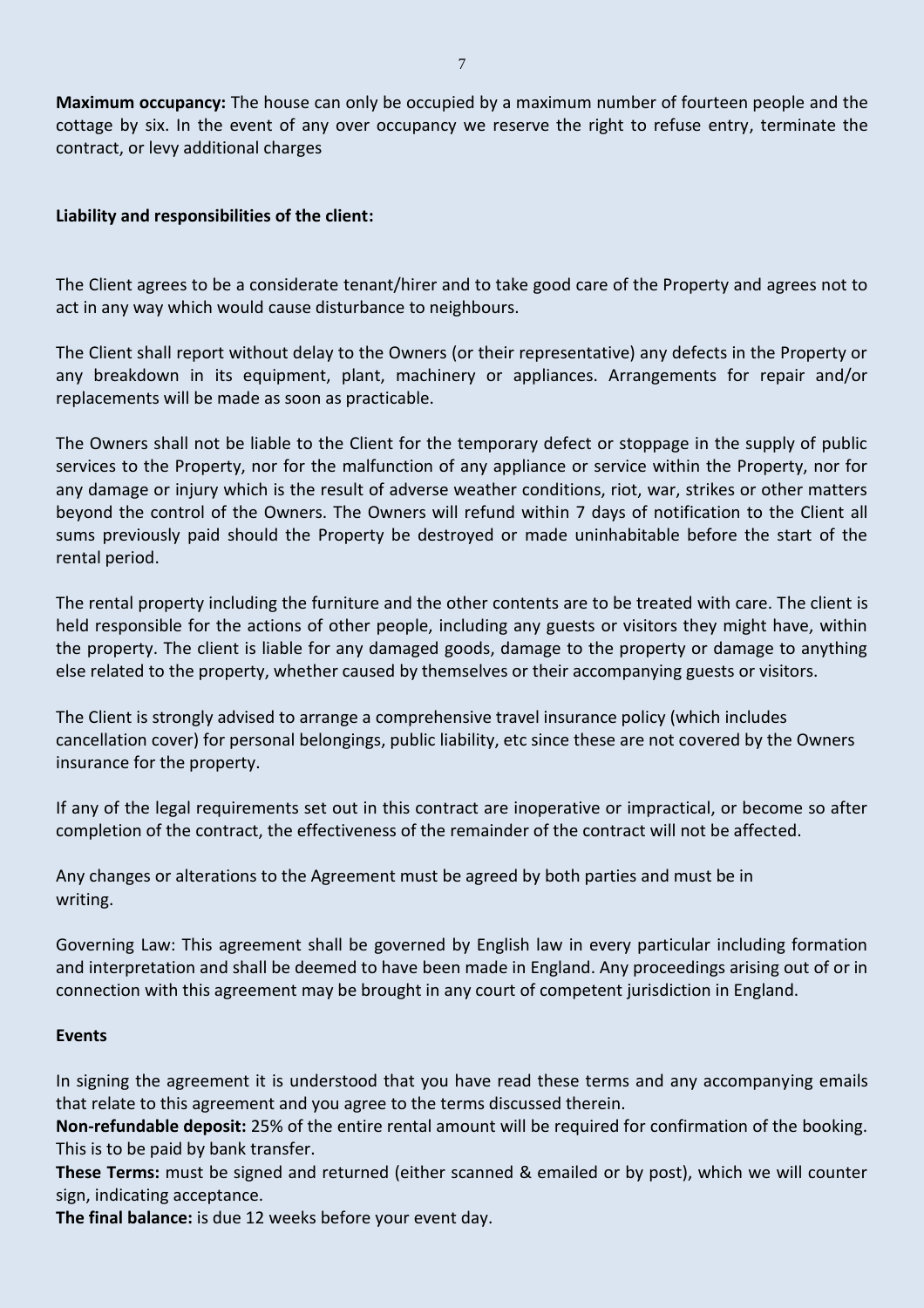**Maximum occupancy:** The house can only be occupied by a maximum number of fourteen people and the cottage by six. In the event of any over occupancy we reserve the right to refuse entry, terminate the contract, or levy additional charges

## **Liability and responsibilities of the client:**

The Client agrees to be a considerate tenant/hirer and to take good care of the Property and agrees not to act in any way which would cause disturbance to neighbours.

The Client shall report without delay to the Owners (or their representative) any defects in the Property or any breakdown in its equipment, plant, machinery or appliances. Arrangements for repair and/or replacements will be made as soon as practicable.

The Owners shall not be liable to the Client for the temporary defect or stoppage in the supply of public services to the Property, nor for the malfunction of any appliance or service within the Property, nor for any damage or injury which is the result of adverse weather conditions, riot, war, strikes or other matters beyond the control of the Owners. The Owners will refund within 7 days of notification to the Client all sums previously paid should the Property be destroyed or made uninhabitable before the start of the rental period.

The rental property including the furniture and the other contents are to be treated with care. The client is held responsible for the actions of other people, including any guests or visitors they might have, within the property. The client is liable for any damaged goods, damage to the property or damage to anything else related to the property, whether caused by themselves or their accompanying guests or visitors.

The Client is strongly advised to arrange a comprehensive travel insurance policy (which includes cancellation cover) for personal belongings, public liability, etc since these are not covered by the Owners insurance for the property.

If any of the legal requirements set out in this contract are inoperative or impractical, or become so after completion of the contract, the effectiveness of the remainder of the contract will not be affected.

Any changes or alterations to the Agreement must be agreed by both parties and must be in writing.

Governing Law: This agreement shall be governed by English law in every particular including formation and interpretation and shall be deemed to have been made in England. Any proceedings arising out of or in connection with this agreement may be brought in any court of competent jurisdiction in England.

#### **Events**

In signing the agreement it is understood that you have read these terms and any accompanying emails that relate to this agreement and you agree to the terms discussed therein.

**Non-refundable deposit:** 25% of the entire rental amount will be required for confirmation of the booking. This is to be paid by bank transfer.

**These Terms:** must be signed and returned (either scanned & emailed or by post), which we will counter sign, indicating acceptance.

**The final balance:** is due 12 weeks before your event day.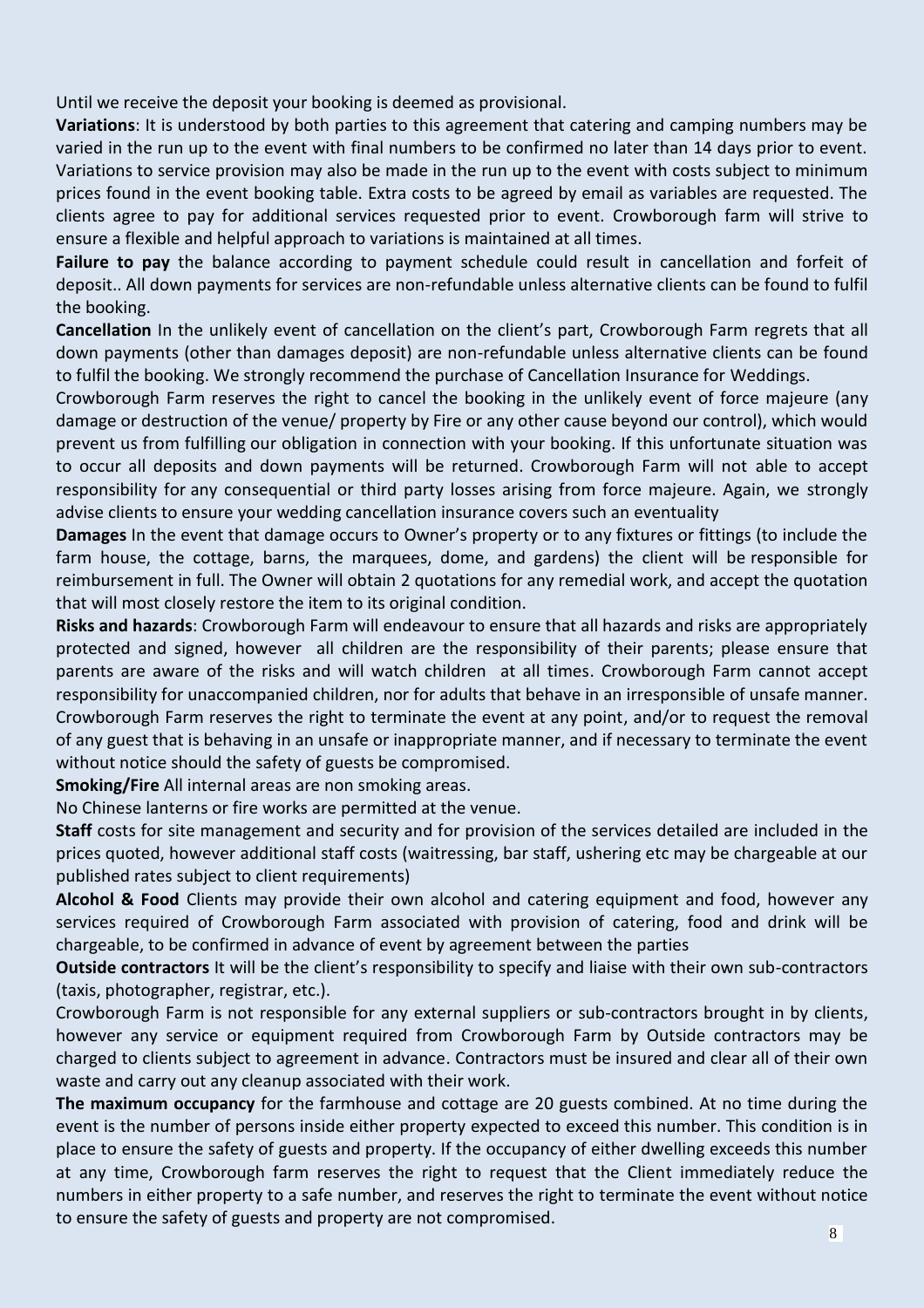Until we receive the deposit your booking is deemed as provisional.

**Variations**: It is understood by both parties to this agreement that catering and camping numbers may be varied in the run up to the event with final numbers to be confirmed no later than 14 days prior to event. Variations to service provision may also be made in the run up to the event with costs subject to minimum prices found in the event booking table. Extra costs to be agreed by email as variables are requested. The clients agree to pay for additional services requested prior to event. Crowborough farm will strive to ensure a flexible and helpful approach to variations is maintained at all times.

**Failure to pay** the balance according to payment schedule could result in cancellation and forfeit of deposit.. All down payments for services are non-refundable unless alternative clients can be found to fulfil the booking.

**Cancellation** In the unlikely event of cancellation on the client's part, Crowborough Farm regrets that all down payments (other than damages deposit) are non-refundable unless alternative clients can be found to fulfil the booking. We strongly recommend the purchase of Cancellation Insurance for Weddings.

Crowborough Farm reserves the right to cancel the booking in the unlikely event of force majeure (any damage or destruction of the venue/ property by Fire or any other cause beyond our control), which would prevent us from fulfilling our obligation in connection with your booking. If this unfortunate situation was to occur all deposits and down payments will be returned. Crowborough Farm will not able to accept responsibility for any consequential or third party losses arising from force majeure. Again, we strongly advise clients to ensure your wedding cancellation insurance covers such an eventuality

**Damages** In the event that damage occurs to Owner's property or to any fixtures or fittings (to include the farm house, the cottage, barns, the marquees, dome, and gardens) the client will be responsible for reimbursement in full. The Owner will obtain 2 quotations for any remedial work, and accept the quotation that will most closely restore the item to its original condition.

**Risks and hazards**: Crowborough Farm will endeavour to ensure that all hazards and risks are appropriately protected and signed, however all children are the responsibility of their parents; please ensure that parents are aware of the risks and will watch children at all times. Crowborough Farm cannot accept responsibility for unaccompanied children, nor for adults that behave in an irresponsible of unsafe manner. Crowborough Farm reserves the right to terminate the event at any point, and/or to request the removal of any guest that is behaving in an unsafe or inappropriate manner, and if necessary to terminate the event without notice should the safety of guests be compromised.

**Smoking/Fire** All internal areas are non smoking areas.

No Chinese lanterns or fire works are permitted at the venue.

**Staff** costs for site management and security and for provision of the services detailed are included in the prices quoted, however additional staff costs (waitressing, bar staff, ushering etc may be chargeable at our published rates subject to client requirements)

**Alcohol & Food** Clients may provide their own alcohol and catering equipment and food, however any services required of Crowborough Farm associated with provision of catering, food and drink will be chargeable, to be confirmed in advance of event by agreement between the parties

**Outside contractors** It will be the client's responsibility to specify and liaise with their own sub-contractors (taxis, photographer, registrar, etc.).

Crowborough Farm is not responsible for any external suppliers or sub-contractors brought in by clients, however any service or equipment required from Crowborough Farm by Outside contractors may be charged to clients subject to agreement in advance. Contractors must be insured and clear all of their own waste and carry out any cleanup associated with their work.

**The maximum occupancy** for the farmhouse and cottage are 20 guests combined. At no time during the event is the number of persons inside either property expected to exceed this number. This condition is in place to ensure the safety of guests and property. If the occupancy of either dwelling exceeds this number at any time, Crowborough farm reserves the right to request that the Client immediately reduce the numbers in either property to a safe number, and reserves the right to terminate the event without notice to ensure the safety of guests and property are not compromised.